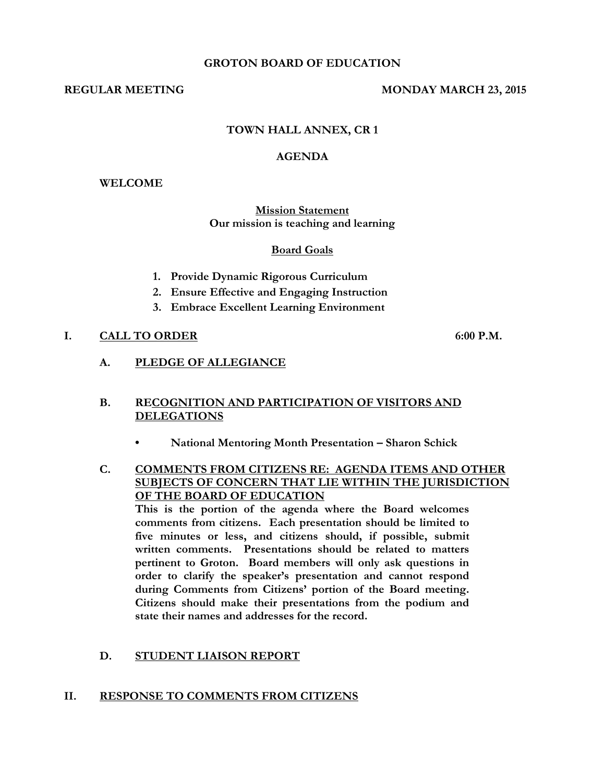#### **GROTON BOARD OF EDUCATION**

#### **REGULAR MEETING MONDAY MARCH 23, 2015**

## **TOWN HALL ANNEX, CR 1**

#### **AGENDA**

#### **WELCOME**

#### **Mission Statement Our mission is teaching and learning**

#### **Board Goals**

- **1. Provide Dynamic Rigorous Curriculum**
- **2. Ensure Effective and Engaging Instruction**
- **3. Embrace Excellent Learning Environment**

## **I. CALL TO ORDER 6:00 P.M.**

**A. PLEDGE OF ALLEGIANCE**

## **B. RECOGNITION AND PARTICIPATION OF VISITORS AND DELEGATIONS**

- **• National Mentoring Month Presentation – Sharon Schick**
- **C. COMMENTS FROM CITIZENS RE: AGENDA ITEMS AND OTHER SUBJECTS OF CONCERN THAT LIE WITHIN THE JURISDICTION OF THE BOARD OF EDUCATION**

**This is the portion of the agenda where the Board welcomes comments from citizens. Each presentation should be limited to five minutes or less, and citizens should, if possible, submit written comments. Presentations should be related to matters pertinent to Groton. Board members will only ask questions in order to clarify the speaker's presentation and cannot respond during Comments from Citizens' portion of the Board meeting. Citizens should make their presentations from the podium and state their names and addresses for the record.**

#### **D. STUDENT LIAISON REPORT**

#### **II. RESPONSE TO COMMENTS FROM CITIZENS**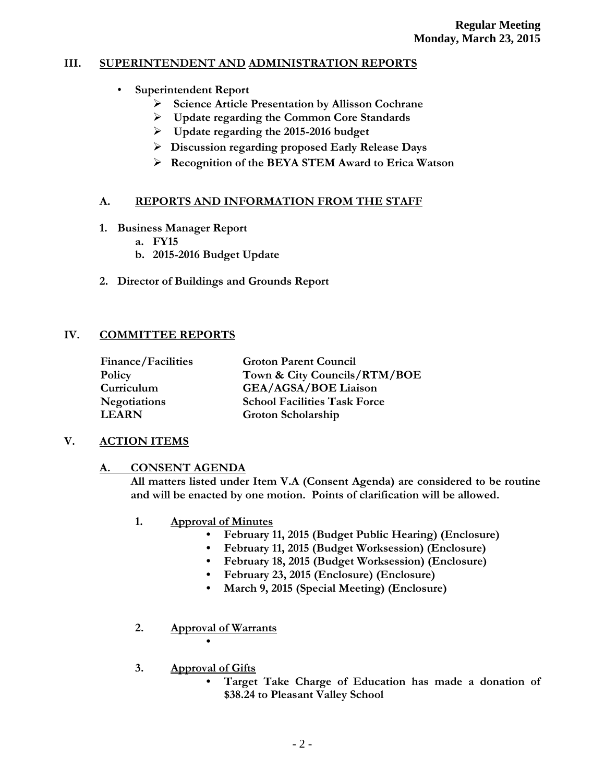# **III. SUPERINTENDENT AND ADMINISTRATION REPORTS**

- **Superintendent Report**
	- **Science Article Presentation by Allisson Cochrane**
	- **Update regarding the Common Core Standards**
	- **Update regarding the 2015-2016 budget**
	- **Discussion regarding proposed Early Release Days**
	- **Recognition of the BEYA STEM Award to Erica Watson**

# **A. REPORTS AND INFORMATION FROM THE STAFF**

- **1. Business Manager Report**
	- **a. FY15**
	- **b. 2015-2016 Budget Update**
- **2. Director of Buildings and Grounds Report**

# **IV. COMMITTEE REPORTS**

| <b>Finance/Facilities</b> | <b>Groton Parent Council</b>        |
|---------------------------|-------------------------------------|
| Policy                    | Town & City Councils/RTM/BOE        |
| Curriculum                | <b>GEA/AGSA/BOE Liaison</b>         |
| <b>Negotiations</b>       | <b>School Facilities Task Force</b> |
| <b>LEARN</b>              | Groton Scholarship                  |

# **V. ACTION ITEMS**

# **A. CONSENT AGENDA**

**All matters listed under Item V.A (Consent Agenda) are considered to be routine and will be enacted by one motion. Points of clarification will be allowed.**

- **1. Approval of Minutes**
	- **February 11, 2015 (Budget Public Hearing) (Enclosure)**
	- **February 11, 2015 (Budget Worksession) (Enclosure)**
	- **February 18, 2015 (Budget Worksession) (Enclosure)**
	- **February 23, 2015 (Enclosure) (Enclosure)**
	- **March 9, 2015 (Special Meeting) (Enclosure)**
- **2. Approval of Warrants •**
- **3. Approval of Gifts**
	- **Target Take Charge of Education has made a donation of \$38.24 to Pleasant Valley School**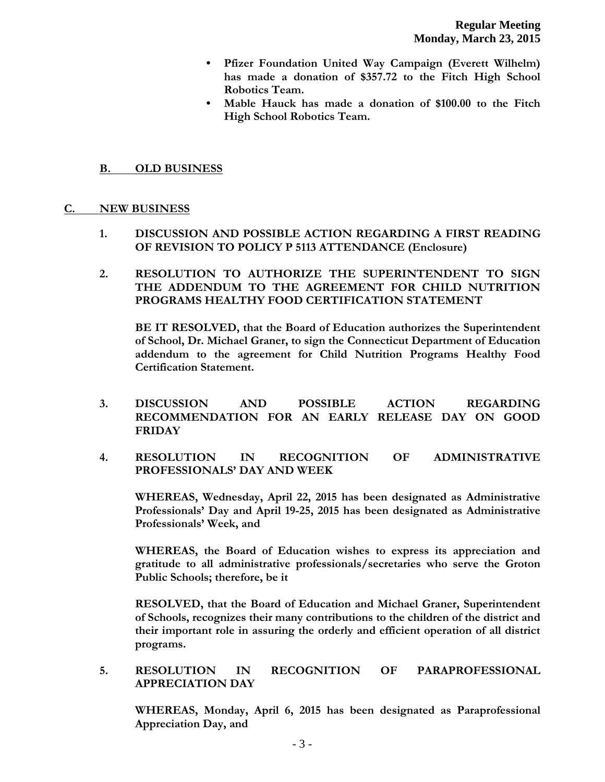- **Pfizer Foundation United Way Campaign (Everett Wilhelm) has made a donation of \$357.72 to the Fitch High School Robotics Team.**
- **Mable Hauck has made a donation of \$100.00 to the Fitch High School Robotics Team.**

## **B. OLD BUSINESS**

#### **C. NEW BUSINESS**

- **1. DISCUSSION AND POSSIBLE ACTION REGARDING A FIRST READING OF REVISION TO POLICY P 5113 ATTENDANCE (Enclosure)**
- **2. RESOLUTION TO AUTHORIZE THE SUPERINTENDENT TO SIGN THE ADDENDUM TO THE AGREEMENT FOR CHILD NUTRITION PROGRAMS HEALTHY FOOD CERTIFICATION STATEMENT**

**BE IT RESOLVED, that the Board of Education authorizes the Superintendent of School, Dr. Michael Graner, to sign the Connecticut Department of Education addendum to the agreement for Child Nutrition Programs Healthy Food Certification Statement.**

- **3. DISCUSSION AND POSSIBLE ACTION REGARDING RECOMMENDATION FOR AN EARLY RELEASE DAY ON GOOD FRIDAY**
- **4. RESOLUTION IN RECOGNITION OF ADMINISTRATIVE PROFESSIONALS' DAY AND WEEK**

**WHEREAS, Wednesday, April 22, 2015 has been designated as Administrative Professionals' Day and April 19-25, 2015 has been designated as Administrative Professionals' Week, and**

**WHEREAS, the Board of Education wishes to express its appreciation and gratitude to all administrative professionals/secretaries who serve the Groton Public Schools; therefore, be it** 

**RESOLVED, that the Board of Education and Michael Graner, Superintendent of Schools, recognizes their many contributions to the children of the district and their important role in assuring the orderly and efficient operation of all district programs.**

**5. RESOLUTION IN RECOGNITION OF PARAPROFESSIONAL APPRECIATION DAY**

**WHEREAS, Monday, April 6, 2015 has been designated as Paraprofessional Appreciation Day, and**